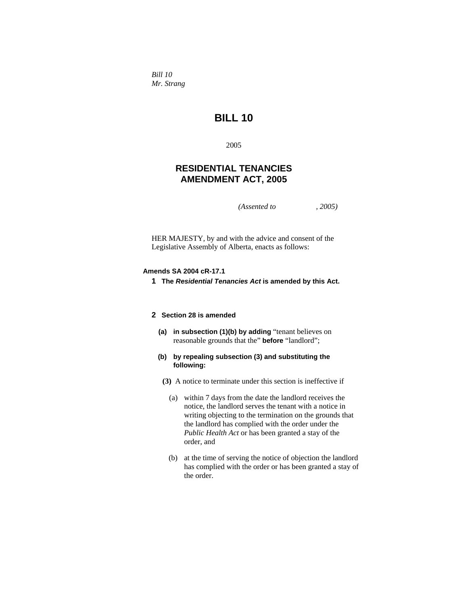*Bill 10 Mr. Strang* 

# **BILL 10**

2005

# **RESIDENTIAL TENANCIES AMENDMENT ACT, 2005**

*(Assented to , 2005)* 

HER MAJESTY, by and with the advice and consent of the Legislative Assembly of Alberta, enacts as follows:

### **Amends SA 2004 cR-17.1**

**1 The** *Residential Tenancies Act* **is amended by this Act.** 

# **2 Section 28 is amended**

- **(a) in subsection (1)(b) by adding** "tenant believes on reasonable grounds that the" **before** "landlord";
- **(b) by repealing subsection (3) and substituting the following:**
- **(3)** A notice to terminate under this section is ineffective if
	- (a) within 7 days from the date the landlord receives the notice, the landlord serves the tenant with a notice in writing objecting to the termination on the grounds that the landlord has complied with the order under the *Public Health Act* or has been granted a stay of the order, and
	- (b) at the time of serving the notice of objection the landlord has complied with the order or has been granted a stay of the order.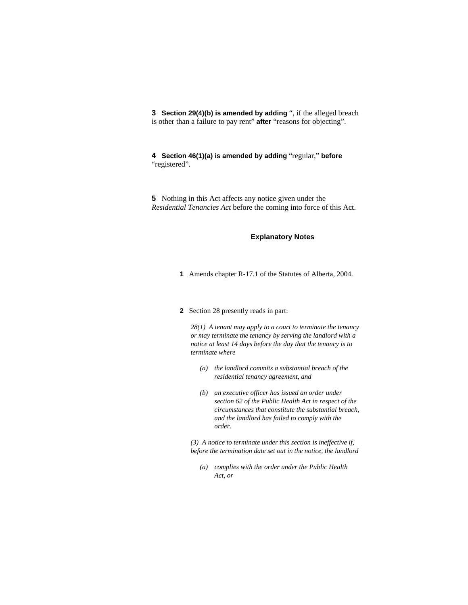**3 Section 29(4)(b) is amended by adding** ", if the alleged breach is other than a failure to pay rent" **after** "reasons for objecting".

**4 Section 46(1)(a) is amended by adding** "regular," **before**  "registered".

**5** Nothing in this Act affects any notice given under the *Residential Tenancies Act* before the coming into force of this Act.

## **Explanatory Notes**

**1** Amends chapter R-17.1 of the Statutes of Alberta, 2004.

## **2** Section 28 presently reads in part:

*28(1) A tenant may apply to a court to terminate the tenancy or may terminate the tenancy by serving the landlord with a notice at least 14 days before the day that the tenancy is to terminate where* 

- *(a) the landlord commits a substantial breach of the residential tenancy agreement, and*
- *(b) an executive officer has issued an order under section 62 of the Public Health Act in respect of the circumstances that constitute the substantial breach, and the landlord has failed to comply with the order.*

*(3) A notice to terminate under this section is ineffective if, before the termination date set out in the notice, the landlord* 

 *(a) complies with the order under the Public Health Act, or*